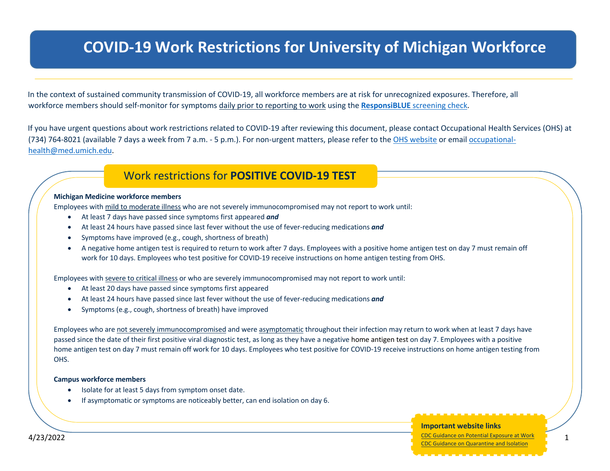# **COVID-19 Work Restrictions for University of Michigan Workforce**

**Members**

In the context of sustained community transmission of COVID-19, all workforce members are at risk for unrecognized exposures. Therefore, all workforce members should self-monitor for symptoms daily prior to reporting to work using the **ResponsiBLUE** screening check.

If you have urgent questions about work restrictions related to COVID-19 after reviewing this document, please contact Occupational Health Services (OHS) at (734) 764-8021 (available 7 days a week from 7 a.m. - 5 p.m.). For non-urgent matters, please refer to the OHS website or email occupationalhealth@med.umich.edu.

# Work restrictions for **POSITIVE COVID-19 TEST**

#### **Michigan Medicine workforce members**

Employees with mild to moderate illness who are not severely immunocompromised may not report to work until:

- At least 7 days have passed since symptoms first appeared *and*
- At least 24 hours have passed since last fever without the use of fever-reducing medications *and*
- Symptoms have improved (e.g., cough, shortness of breath)
- A negative home antigen test is required to return to work after 7 days. Employees with a positive home antigen test on day 7 must remain off work for 10 days. Employees who test positive for COVID-19 receive instructions on home antigen testing from OHS.

Employees with severe to critical illness or who are severely immunocompromised may not report to work until:

- At least 20 days have passed since symptoms first appeared
- At least 24 hours have passed since last fever without the use of fever-reducing medications *and*
- Symptoms (e.g., cough, shortness of breath) have improved

Employees who are not severely immunocompromised and were asymptomatic throughout their infection may return to work when at least 7 days have passed since the date of their first positive viral diagnostic test, as long as they have a negative home antigen test on day 7. Employees with a positive home antigen test on day 7 must remain off work for 10 days. Employees who test positive for COVID-19 receive instructions on home antigen testing from OHS.

#### **Campus workforce members**

Isolate for at least 5 days from symptom onset date.

• Continue to isolate if symptoms are not improving.

• If asymptomatic or symptoms are noticeably better, can end isolation on day 6.

### **Important website links**

4/23/2022 1 CDC Guidance on Potential Exposure at Work *People who are severely ill with COVID-19 or are immunocompromised may need to isolate for longer and should consult with their healthcare provider.* CDC Guidance on Quarantine and Isolation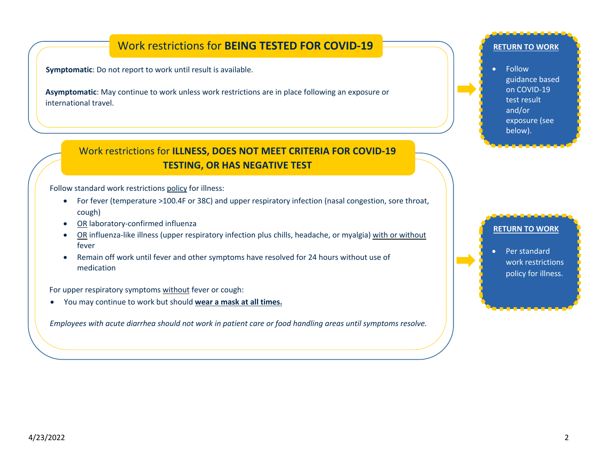# Work restrictions for **BEING TESTED FOR COVID-19**

**Symptomatic**: Do not report to work until result is available.

**Asymptomatic**: May continue to work unless work restrictions are in place following an exposure or international travel.

# Work restrictions for **ILLNESS, DOES NOT MEET CRITERIA FOR COVID-19 TESTING, OR HAS NEGATIVE TEST**

Follow standard work restrictions policy for illness:

- For fever (temperature >100.4F or 38C) and upper respiratory infection (nasal congestion, sore throat, cough)
- OR laboratory-confirmed influenza
- OR influenza-like illness (upper respiratory infection plus chills, headache, or myalgia) with or without fever
- Remain off work until fever and other symptoms have resolved for 24 hours without use of medication

For upper respiratory symptoms without fever or cough:

• You may continue to work but should **wear a mask at all times.**

*Employees with acute diarrhea should not work in patient care or food handling areas until symptoms resolve.* 

#### **RETURN TO WORK**

• Follow guidance based on COVID-19 test result and/or exposure (see below).

### **RETURN TO WORK**

• Per standard work restrictions policy for illness.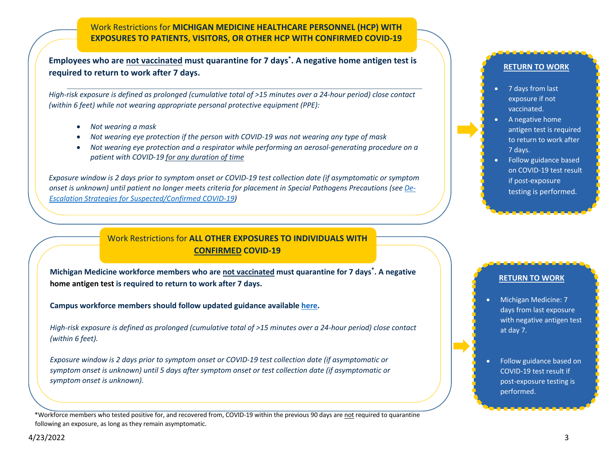Work Restrictions for **MICHIGAN MEDICINE HEALTHCARE PERSONNEL (HCP) WITH EXPOSURES TO PATIENTS, VISITORS, OR OTHER HCP WITH CONFIRMED COVID-19**

**Employees who are not vaccinated must quarantine for 7 days\* . A negative home antigen test is required to return to work after 7 days.**

*High-risk exposure is defined as prolonged (cumulative total of >15 minutes over a 24-hour period) close contact (within 6 feet) while not wearing appropriate personal protective equipment (PPE):*

- *Not wearing a mask*
- *Not wearing eye protection if the person with COVID-19 was not wearing any type of mask*
- *Not wearing eye protection and a respirator while performing an aerosol-generating procedure on a patient with COVID-19 for any duration of time*

*Exposure window is 2 days prior to symptom onset or COVID-19 test collection date (if asymptomatic or symptom onset is unknown) until patient no longer meets criteria for placement in Special Pathogens Precautions (see De-Escalation Strategies for Suspected/Confirmed COVID-19)*

> Work Restrictions for **ALL OTHER EXPOSURES TO INDIVIDUALS WITH CONFIRMED COVID-19**

**Michigan Medicine workforce members who are not vaccinated must quarantine for 7 days\* . A negative home antigen test is required to return to work after 7 days.**

**Campus workforce members should follow updated guidance available here.**

*High-risk exposure is defined as prolonged (cumulative total of >15 minutes over a 24-hour period) close contact (within 6 feet).*

*Exposure window is 2 days prior to symptom onset or COVID-19 test collection date (if asymptomatic or symptom onset is unknown) until 5 days after symptom onset or test collection date (if asymptomatic or symptom onset is unknown).*

\*Workforce members who tested positive for, and recovered from, COVID-19 within the previous 90 days are not required to quarantine following an exposure, as long as they remain asymptomatic.

#### **RETURN TO WORK**

- 7 days from last exposure if not vaccinated.
- A negative home antigen test is required to return to work after 7 days.
- Follow guidance based on COVID-19 test result if post-exposure testing is performed.

#### **RETURN TO WORK**

- Michigan Medicine: 7 days from last exposure with negative antigen test at day 7.
- Follow guidance based on COVID-19 test result if post-exposure testing is performed.